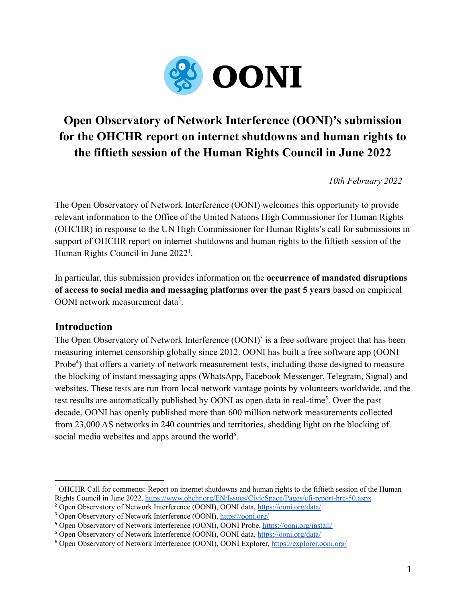

# **Open Observatory of Network Interference (OONI)'s submission for the OHCHR report on internet shutdowns and human rights to the fiftieth session of the Human Rights Council in June 2022**

*10th February 2022*

The Open Observatory of Network Interference (OONI) welcomes this opportunity to provide relevant information to the Office of the United Nations High Commissioner for Human Rights (OHCHR) in response to the UN High Commissioner for Human Rights's call for submissions in support of OHCHR report on internet shutdowns and human rights to the fiftieth session of the Human Rights Council in June 2022<sup>1</sup>.

In particular, this submission provides information on the **occurrence of mandated disruptions of access to social media and messaging platforms over the past 5 years** based on empirical OONI network measurement data<sup>2</sup>.

# **Introduction**

The Open Observatory of Network Interference  $(OONI)^3$  is a free software project that has been measuring internet censorship globally since 2012. OONI has built a free software app (OONI Probe<sup>4</sup>) that offers a variety of network measurement tests, including those designed to measure the blocking of instant messaging apps (WhatsApp, Facebook Messenger, Telegram, Signal) and websites. These tests are run from local network vantage points by volunteers worldwide, and the test results are automatically published by OONI as open data in real-time<sup>5</sup>. Over the past decade, OONI has openly published more than 600 million network measurements collected from 23,000 AS networks in 240 countries and territories, shedding light on the blocking of social media websites and apps around the world $6$ .

<sup>1</sup> OHCHR Call for comments: Report on internet shutdowns and human rights to the fiftieth session of the Human Rights Council in June 2022, <https://www.ohchr.org/EN/Issues/CivicSpace/Pages/cfi-report-hrc-50.aspx>

<sup>&</sup>lt;sup>2</sup> Open Observatory of Network Interference (OONI), OONI data, <https://ooni.org/data/>

<sup>3</sup> Open Observatory of Network Interference (OONI), <https://ooni.org/>

<sup>4</sup> Open Observatory of Network Interference (OONI), OONI Probe, <https://ooni.org/install/>

<sup>5</sup> Open Observatory of Network Interference (OONI), OONI data, <https://ooni.org/data/>

<sup>6</sup> Open Observatory of Network Interference (OONI), OONI Explorer, <https://explorer.ooni.org/>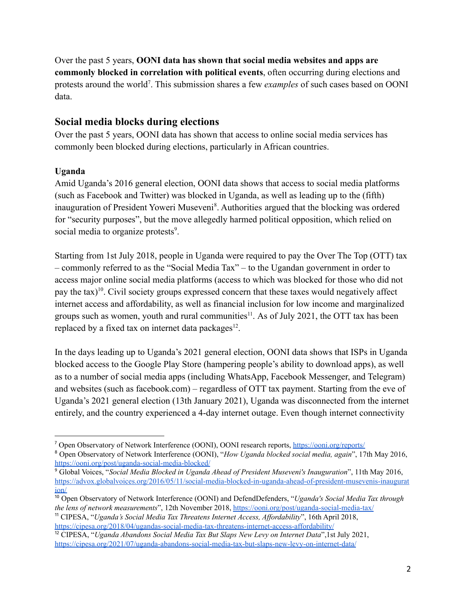Over the past 5 years, **OONI data has shown that social media websites and apps are commonly blocked in correlation with political events**, often occurring during elections and protests around the world<sup>7</sup>. This submission shares a few *examples* of such cases based on OONI data.

# **Social media blocks during elections**

Over the past 5 years, OONI data has shown that access to online social media services has commonly been blocked during elections, particularly in African countries.

## **Uganda**

Amid Uganda's 2016 general election, OONI data shows that access to social media platforms (such as Facebook and Twitter) was blocked in Uganda, as well as leading up to the (fifth) inauguration of President Yoweri Museveni<sup>8</sup>. Authorities argued that the blocking was ordered for "security purposes", but the move allegedly harmed political opposition, which relied on social media to organize protests<sup>9</sup>.

Starting from 1st July 2018, people in Uganda were required to pay the Over The Top (OTT) tax – commonly referred to as the "Social Media Tax" – to the Ugandan government in order to access major online social media platforms (access to which was blocked for those who did not pay the tax)<sup>10</sup>. Civil society groups expressed concern that these taxes would negatively affect internet access and affordability, as well as financial inclusion for low income and marginalized groups such as women, youth and rural communities<sup>11</sup>. As of July 2021, the OTT tax has been replaced by a fixed tax on internet data packages $^{12}$ .

In the days leading up to Uganda's 2021 general election, OONI data shows that ISPs in Uganda blocked access to the Google Play Store (hampering people's ability to download apps), as well as to a number of social media apps (including WhatsApp, Facebook Messenger, and Telegram) and websites (such as facebook.com) – regardless of OTT tax payment. Starting from the eve of Uganda's 2021 general election (13th January 2021), Uganda was disconnected from the internet entirely, and the country experienced a 4-day internet outage. Even though internet connectivity

<sup>7</sup> Open Observatory of Network Interference (OONI), OONI research reports, <https://ooni.org/reports/>

<sup>8</sup> Open Observatory of Network Interference (OONI), "*How Uganda blocked social media, again*", 17th May 2016, <https://ooni.org/post/uganda-social-media-blocked/>

<sup>9</sup> Global Voices, "*Social Media Blocked in Uganda Ahead of President Museveni's Inauguration*", 11th May 2016, [https://advox.globalvoices.org/2016/05/11/social-media-blocked-in-uganda-ahead-of-president-musevenis-inaugurat](https://advox.globalvoices.org/2016/05/11/social-media-blocked-in-uganda-ahead-of-president-musevenis-inauguration/) [ion/](https://advox.globalvoices.org/2016/05/11/social-media-blocked-in-uganda-ahead-of-president-musevenis-inauguration/)

<sup>11</sup> CIPESA, "*Uganda's Social Media Tax Threatens Internet Access, Af ordability*", 16th April 2018, <sup>10</sup> Open Observatory of Network Interference (OONI) and DefendDefenders, "*Uganda's Social Media Tax through the lens of network measurements*", 12th November 2018, <https://ooni.org/post/uganda-social-media-tax/>

<https://cipesa.org/2018/04/ugandas-social-media-tax-threatens-internet-access-affordability/>

<sup>12</sup> CIPESA, "*Uganda Abandons Social Media Tax But Slaps New Levy on Internet Data*",1st July 2021, <https://cipesa.org/2021/07/uganda-abandons-social-media-tax-but-slaps-new-levy-on-internet-data/>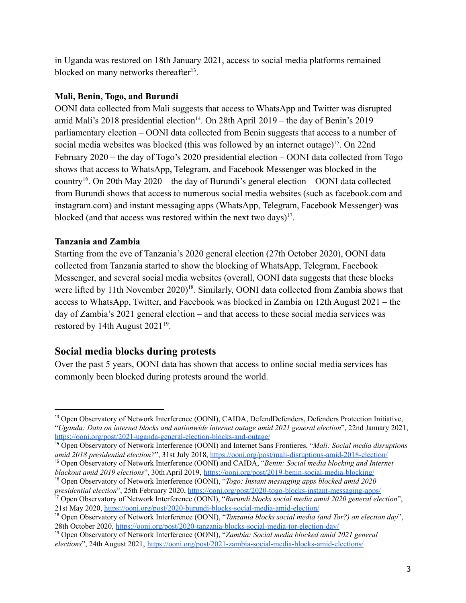in Uganda was restored on 18th January 2021, access to social media platforms remained blocked on many networks thereafter<sup>13</sup>.

#### **Mali, Benin, Togo, and Burundi**

OONI data collected from Mali suggests that access to WhatsApp and Twitter was disrupted amid Mali's 2018 presidential election<sup>14</sup>. On 28th April 2019 – the day of Benin's 2019 parliamentary election – OONI data collected from Benin suggests that access to a number of social media websites was blocked (this was followed by an internet outage)<sup>15</sup>. On 22nd February 2020 – the day of Togo's 2020 presidential election – OONI data collected from Togo shows that access to WhatsApp, Telegram, and Facebook Messenger was blocked in the country<sup>16</sup>. On 20th May 2020 – the day of Burundi's general election – OONI data collected from Burundi shows that access to numerous social media websites (such as facebook.com and instagram.com) and instant messaging apps (WhatsApp, Telegram, Facebook Messenger) was blocked (and that access was restored within the next two days) $17$ .

#### **Tanzania and Zambia**

Starting from the eve of Tanzania's 2020 general election (27th October 2020), OONI data collected from Tanzania started to show the blocking of WhatsApp, Telegram, Facebook Messenger, and several social media websites (overall, OONI data suggests that these blocks were lifted by 11th November 2020)<sup>18</sup>. Similarly, OONI data collected from Zambia shows that access to WhatsApp, Twitter, and Facebook was blocked in Zambia on 12th August 2021 – the day of Zambia's 2021 general election – and that access to these social media services was restored by 14th August  $2021^{19}$ .

# **Social media blocks during protests**

Over the past 5 years, OONI data has shown that access to online social media services has commonly been blocked during protests around the world.

<sup>&</sup>lt;sup>13</sup> Open Observatory of Network Interference (OONI), CAIDA, DefendDefenders, Defenders Protection Initiative, "*Uganda: Data on internet blocks and nationwide internet outage amid 2021 general election*", 22nd January 2021, <https://ooni.org/post/2021-uganda-general-election-blocks-and-outage/>

<sup>15</sup> Open Observatory of Network Interference (OONI) and CAIDA, "*Benin: Social media blocking and Internet* <sup>14</sup> Open Observatory of Network Interference (OONI) and Internet Sans Frontieres, "*Mali: Social media disruptions amid 2018 presidential election?*", 31st July 2018, <https://ooni.org/post/mali-disruptions-amid-2018-election/>

<sup>16</sup> Open Observatory of Network Interference (OONI), "*Togo: Instant messaging apps blocked amid 2020 blackout amid 2019 elections*", 30th April 2019, <https://ooni.org/post/2019-benin-social-media-blocking/>

<sup>17</sup> Open Observatory of Network Interference (OONI), "*Burundi blocks social media amid 2020 general election*", 21st May 2020, <https://ooni.org/post/2020-burundi-blocks-social-media-amid-election/> *presidential election*", 25th February 2020, <https://ooni.org/post/2020-togo-blocks-instant-messaging-apps/>

<sup>18</sup> Open Observatory of Network Interference (OONI), "*Tanzania blocks social media (and Tor?) on election day*", 28th October 2020, <https://ooni.org/post/2020-tanzania-blocks-social-media-tor-election-day/>

<sup>19</sup> Open Observatory of Network Interference (OONI), "*Zambia: Social media blocked amid 2021 general elections*", 24th August 2021, <https://ooni.org/post/2021-zambia-social-media-blocks-amid-elections/>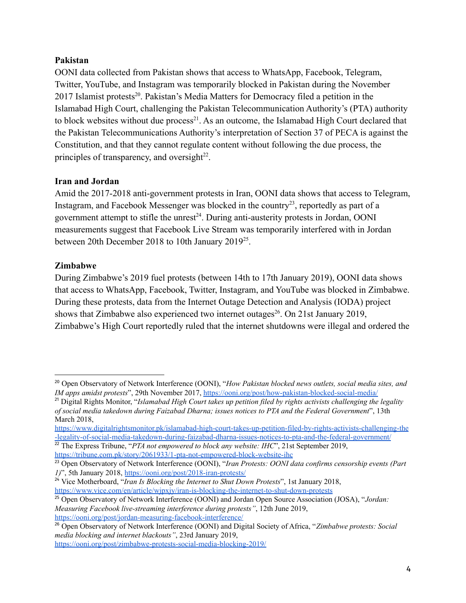#### **Pakistan**

OONI data collected from Pakistan shows that access to WhatsApp, Facebook, Telegram, Twitter, YouTube, and Instagram was temporarily blocked in Pakistan during the November 2017 Islamist protests<sup>20</sup>. Pakistan's Media Matters for Democracy filed a petition in the Islamabad High Court, challenging the Pakistan Telecommunication Authority's (PTA) authority to block websites without due process<sup>21</sup>. As an outcome, the Islamabad High Court declared that the Pakistan Telecommunications Authority's interpretation of Section 37 of PECA is against the Constitution, and that they cannot regulate content without following the due process, the principles of transparency, and oversight $^{22}$ .

#### **Iran and Jordan**

Amid the 2017-2018 anti-government protests in Iran, OONI data shows that access to Telegram, Instagram, and Facebook Messenger was blocked in the country<sup>23</sup>, reportedly as part of a government attempt to stifle the unrest $24$ . During anti-austerity protests in Jordan, OONI measurements suggest that Facebook Live Stream was temporarily interfered with in Jordan between 20th December 2018 to 10th January 2019<sup>25</sup>.

#### **Zimbabwe**

During Zimbabwe's 2019 fuel protests (between 14th to 17th January 2019), OONI data shows that access to WhatsApp, Facebook, Twitter, Instagram, and YouTube was blocked in Zimbabwe. During these protests, data from the Internet Outage Detection and Analysis (IODA) project shows that Zimbabwe also experienced two internet outages<sup>26</sup>. On 21st January 2019, Zimbabwe's High Court reportedly ruled that the internet shutdowns were illegal and ordered the

<sup>22</sup> The Express Tribune, "*PTA not empowered to block any website: IHC*", 21st September 2019, <https://tribune.com.pk/story/2061933/1-pta-not-empowered-block-website-ihc>

<sup>20</sup> Open Observatory of Network Interference (OONI), "*How Pakistan blocked news outlets, social media sites, and IM apps amidst protests*", 29th November 2017, <https://ooni.org/post/how-pakistan-blocked-social-media/>

<sup>21</sup> Digital Rights Monitor, "*Islamabad High Court takes up petition filed by rights activists challenging the legality of social media takedown during Faizabad Dharna; issues notices to PTA and the Federal Government*", 13th March 2018,

[https://www.digitalrightsmonitor.pk/islamabad-high-court-takes-up-petition-filed-by-rights-activists-challenging-the](https://www.digitalrightsmonitor.pk/islamabad-high-court-takes-up-petition-filed-by-rights-activists-challenging-the-legality-of-social-media-takedown-during-faizabad-dharna-issues-notices-to-pta-and-the-federal-government/) [-legality-of-social-media-takedown-during-faizabad-dharna-issues-notices-to-pta-and-the-federal-government/](https://www.digitalrightsmonitor.pk/islamabad-high-court-takes-up-petition-filed-by-rights-activists-challenging-the-legality-of-social-media-takedown-during-faizabad-dharna-issues-notices-to-pta-and-the-federal-government/)

<sup>23</sup> Open Observatory of Network Interference (OONI), "*Iran Protests: OONI data confirms censorship events (Part 1)*", 5th January 2018, <https://ooni.org/post/2018-iran-protests/>

<sup>24</sup> Vice Motherboard, "*Iran Is Blocking the Internet to Shut Down Protests*", 1st January 2018, <https://www.vice.com/en/article/wjpxjy/iran-is-blocking-the-internet-to-shut-down-protests>

<sup>25</sup> Open Observatory of Network Interference (OONI) and Jordan Open Source Association (JOSA), "*Jordan:*

*Measuring Facebook live-streaming interference during protests"*, 12th June 2019, <https://ooni.org/post/jordan-measuring-facebook-interference/>

<sup>26</sup> Open Observatory of Network Interference (OONI) and Digital Society of Africa, "*Zimbabwe protests: Social media blocking and internet blackouts"*, 23rd January 2019, <https://ooni.org/post/zimbabwe-protests-social-media-blocking-2019/>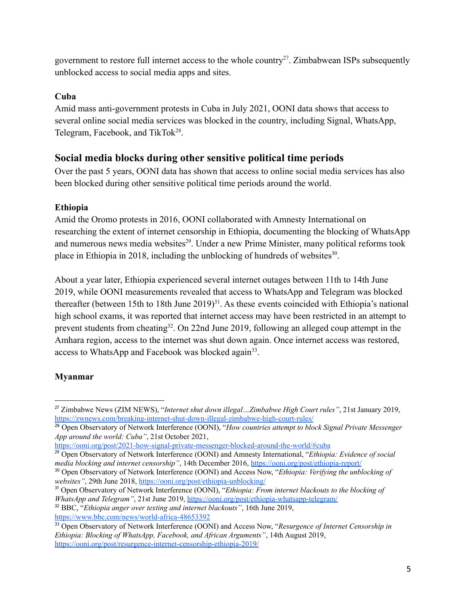government to restore full internet access to the whole country<sup>27</sup>. Zimbabwean ISPs subsequently unblocked access to social media apps and sites.

### **Cuba**

Amid mass anti-government protests in Cuba in July 2021, OONI data shows that access to several online social media services was blocked in the country, including Signal, WhatsApp, Telegram, Facebook, and TikTok<sup>28</sup>.

# **Social media blocks during other sensitive political time periods**

Over the past 5 years, OONI data has shown that access to online social media services has also been blocked during other sensitive political time periods around the world.

## **Ethiopia**

Amid the Oromo protests in 2016, OONI collaborated with Amnesty International on researching the extent of internet censorship in Ethiopia, documenting the blocking of WhatsApp and numerous news media websites<sup>29</sup>. Under a new Prime Minister, many political reforms took place in Ethiopia in 2018, including the unblocking of hundreds of websites $30$ .

About a year later, Ethiopia experienced several internet outages between 11th to 14th June 2019, while OONI measurements revealed that access to WhatsApp and Telegram was blocked thereafter (between 15th to 18th June  $2019)^{31}$ . As these events coincided with Ethiopia's national high school exams, it was reported that internet access may have been restricted in an attempt to prevent students from cheating<sup>32</sup>. On 22nd June 2019, following an alleged coup attempt in the Amhara region, access to the internet was shut down again. Once internet access was restored, access to WhatsApp and Facebook was blocked again<sup>33</sup>.

# **Myanmar**

<https://ooni.org/post/2021-how-signal-private-messenger-blocked-around-the-world/#cuba>

<sup>27</sup> Zimbabwe News (ZIM NEWS), "*Internet shut down illegal…Zimbabwe High Court rules"*, 21st January 2019, <https://zwnews.com/breaking-internet-shut-down-illegal-zimbabwe-high-court-rules/>

<sup>28</sup> Open Observatory of Network Interference (OONI), "*How countries attempt to block Signal Private Messenger App around the world: Cuba"*, 21st October 2021,

<sup>29</sup> Open Observatory of Network Interference (OONI) and Amnesty International, "*Ethiopia: Evidence of social media blocking and internet censorship"*, 14th December 2016, <https://ooni.org/post/ethiopia-report/>

<sup>30</sup> Open Observatory of Network Interference (OONI) and Access Now, "*Ethiopia: Verifying the unblocking of websites"*, 29th June 2018, <https://ooni.org/post/ethiopia-unblocking/>

<sup>31</sup> Open Observatory of Network Interference (OONI), "*Ethiopia: From internet blackouts to the blocking of WhatsApp and Telegram"*, 21st June 2019, <https://ooni.org/post/ethiopia-whatsapp-telegram/>

<sup>32</sup> BBC, "*Ethiopia anger over texting and internet blackouts"*, 16th June 2019, <https://www.bbc.com/news/world-africa-48653392>

<sup>33</sup> Open Observatory of Network Interference (OONI) and Access Now, "*Resurgence of Internet Censorship in Ethiopia: Blocking of WhatsApp, Facebook, and African Arguments"*, 14th August 2019, <https://ooni.org/post/resurgence-internet-censorship-ethiopia-2019/>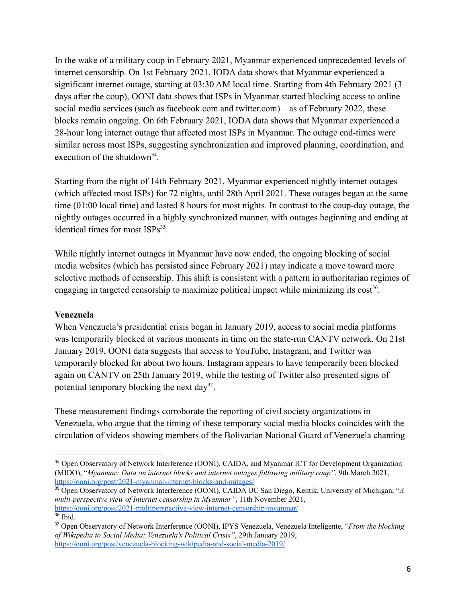In the wake of a military coup in February 2021, Myanmar experienced unprecedented levels of internet censorship. On 1st February 2021, IODA data shows that Myanmar experienced a significant internet outage, starting at 03:30 AM local time. Starting from 4th February 2021 (3 days after the coup), OONI data shows that ISPs in Myanmar started blocking access to online social media services (such as facebook.com and twitter.com) – as of February 2022, these blocks remain ongoing. On 6th February 2021, IODA data shows that Myanmar experienced a 28-hour long internet outage that affected most ISPs in Myanmar. The outage end-times were similar across most ISPs, suggesting synchronization and improved planning, coordination, and execution of the shutdown<sup>34</sup>.

Starting from the night of 14th February 2021, Myanmar experienced nightly internet outages (which affected most ISPs) for 72 nights, until 28th April 2021. These outages began at the same time (01:00 local time) and lasted 8 hours for most nights. In contrast to the coup-day outage, the nightly outages occurred in a highly synchronized manner, with outages beginning and ending at identical times for most ISPs<sup>35</sup>.

While nightly internet outages in Myanmar have now ended, the ongoing blocking of social media websites (which has persisted since February 2021) may indicate a move toward more selective methods of censorship. This shift is consistent with a pattern in authoritarian regimes of engaging in targeted censorship to maximize political impact while minimizing its  $cost^{36}$ .

#### **Venezuela**

When Venezuela's presidential crisis began in January 2019, access to social media platforms was temporarily blocked at various moments in time on the state-run CANTV network. On 21st January 2019, OONI data suggests that access to YouTube, Instagram, and Twitter was temporarily blocked for about two hours. Instagram appears to have temporarily been blocked again on CANTV on 25th January 2019, while the testing of Twitter also presented signs of potential temporary blocking the next day<sup>37</sup>.

These measurement findings corroborate the reporting of civil society organizations in Venezuela, who argue that the timing of these temporary social media blocks coincides with the circulation of videos showing members of the Bolivarian National Guard of Venezuela chanting

36 Ibid. <sup>35</sup> Open Observatory of Network Interference (OONI), CAIDA UC San Diego, Kentik, University of Michigan, "*A multi-perspective view of Internet censorship in Myanmar"*, 11th November 2021, <https://ooni.org/post/2021-multiperspective-view-internet-censorship-myanmar/>

<sup>&</sup>lt;sup>34</sup> Open Observatory of Network Interference (OONI), CAIDA, and Myanmar ICT for Development Organization (MIDO), "*Myanmar: Data on internet blocks and internet outages following military coup"*, 9th March 2021, <https://ooni.org/post/2021-myanmar-internet-blocks-and-outages/>

<sup>37</sup> Open Observatory of Network Interference (OONI), IPYS Venezuela, Venezuela Inteligente, "*From the blocking of Wikipedia to Social Media: Venezuela's Political Crisis"*, 29th January 2019, <https://ooni.org/post/venezuela-blocking-wikipedia-and-social-media-2019/>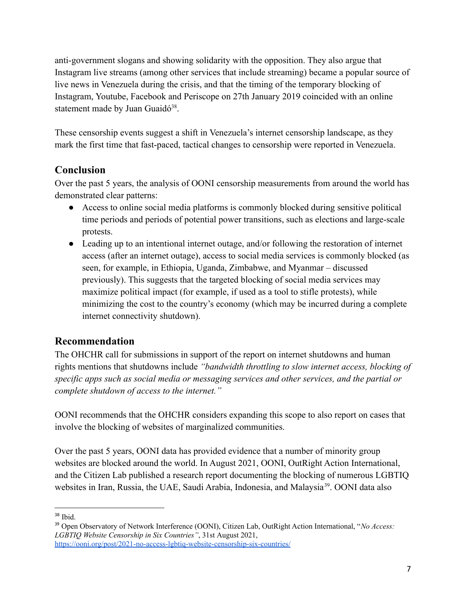anti-government slogans and showing solidarity with the opposition. They also argue that Instagram live streams (among other services that include streaming) became a popular source of live news in Venezuela during the crisis, and that the timing of the temporary blocking of Instagram, Youtube, Facebook and Periscope on 27th January 2019 coincided with an online statement made by Juan Guaidó<sup>38</sup>.

These censorship events suggest a shift in Venezuela's internet censorship landscape, as they mark the first time that fast-paced, tactical changes to censorship were reported in Venezuela.

# **Conclusion**

Over the past 5 years, the analysis of OONI censorship measurements from around the world has demonstrated clear patterns:

- Access to online social media platforms is commonly blocked during sensitive political time periods and periods of potential power transitions, such as elections and large-scale protests.
- Leading up to an intentional internet outage, and/or following the restoration of internet access (after an internet outage), access to social media services is commonly blocked (as seen, for example, in Ethiopia, Uganda, Zimbabwe, and Myanmar – discussed previously). This suggests that the targeted blocking of social media services may maximize political impact (for example, if used as a tool to stifle protests), while minimizing the cost to the country's economy (which may be incurred during a complete internet connectivity shutdown).

# **Recommendation**

The OHCHR call for submissions in support of the report on internet shutdowns and human rights mentions that shutdowns include *"bandwidth throttling to slow internet access, blocking of specific apps such as social media or messaging services and other services, and the partial or complete shutdown of access to the internet."*

OONI recommends that the OHCHR considers expanding this scope to also report on cases that involve the blocking of websites of marginalized communities.

Over the past 5 years, OONI data has provided evidence that a number of minority group websites are blocked around the world. In August 2021, OONI, OutRight Action International, and the Citizen Lab published a research report documenting the blocking of numerous LGBTIQ websites in Iran, Russia, the UAE, Saudi Arabia, Indonesia, and Malaysia<sup>39</sup>. OONI data also

<sup>38</sup> Ibid.

<sup>39</sup> Open Observatory of Network Interference (OONI), Citizen Lab, OutRight Action International, "*No Access: LGBTIQ Website Censorship in Six Countries"*, 31st August 2021, <https://ooni.org/post/2021-no-access-lgbtiq-website-censorship-six-countries/>